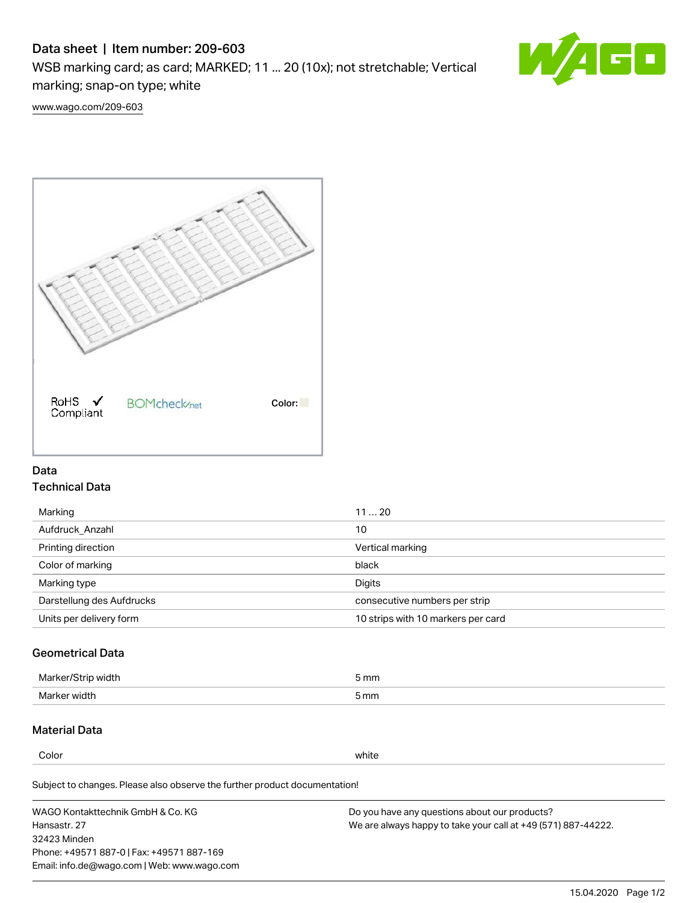# Data sheet | Item number: 209-603

WSB marking card; as card; MARKED; 11 ... 20 (10x); not stretchable; Vertical marking; snap-on type; white



[www.wago.com/209-603](http://www.wago.com/209-603)



## Data Technical Data

| Marking                   | 1120                               |
|---------------------------|------------------------------------|
| Aufdruck Anzahl           | 10                                 |
| Printing direction        | Vertical marking                   |
| Color of marking          | black                              |
| Marking type              | Digits                             |
| Darstellung des Aufdrucks | consecutive numbers per strip      |
| Units per delivery form   | 10 strips with 10 markers per card |

# Geometrical Data

| width        | i mm |
|--------------|------|
| Marker/      | -    |
| Marker width | 5 mm |

## Material Data

Color white

Subject to changes. Please also observe the further product documentation!

WAGO Kontakttechnik GmbH & Co. KG Hansastr. 27 32423 Minden Phone: +49571 887-0 | Fax: +49571 887-169 Email: info.de@wago.com | Web: www.wago.com Do you have any questions about our products? We are always happy to take your call at +49 (571) 887-44222.